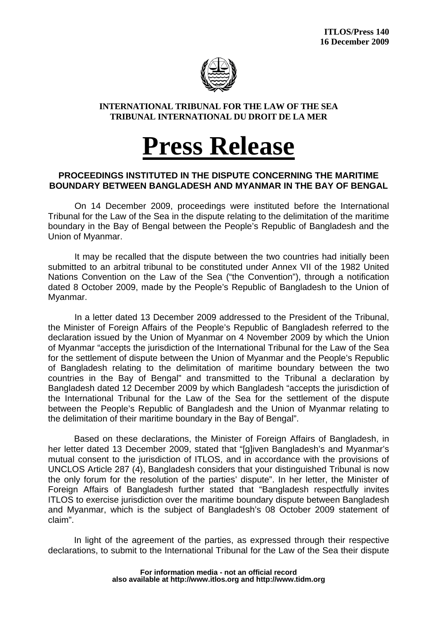

## **INTERNATIONAL TRIBUNAL FOR THE LAW OF THE SEA TRIBUNAL INTERNATIONAL DU DROIT DE LA MER**

## **Press Release**

## **PROCEEDINGS INSTITUTED IN THE DISPUTE CONCERNING THE MARITIME BOUNDARY BETWEEN BANGLADESH AND MYANMAR IN THE BAY OF BENGAL**

On 14 December 2009, proceedings were instituted before the International Tribunal for the Law of the Sea in the dispute relating to the delimitation of the maritime boundary in the Bay of Bengal between the People's Republic of Bangladesh and the Union of Myanmar.

It may be recalled that the dispute between the two countries had initially been submitted to an arbitral tribunal to be constituted under Annex VII of the 1982 United Nations Convention on the Law of the Sea ("the Convention"), through a notification dated 8 October 2009, made by the People's Republic of Bangladesh to the Union of Myanmar.

 In a letter dated 13 December 2009 addressed to the President of the Tribunal, the Minister of Foreign Affairs of the People's Republic of Bangladesh referred to the declaration issued by the Union of Myanmar on 4 November 2009 by which the Union of Myanmar "accepts the jurisdiction of the International Tribunal for the Law of the Sea for the settlement of dispute between the Union of Myanmar and the People's Republic of Bangladesh relating to the delimitation of maritime boundary between the two countries in the Bay of Bengal" and transmitted to the Tribunal a declaration by Bangladesh dated 12 December 2009 by which Bangladesh "accepts the jurisdiction of the International Tribunal for the Law of the Sea for the settlement of the dispute between the People's Republic of Bangladesh and the Union of Myanmar relating to the delimitation of their maritime boundary in the Bay of Bengal".

Based on these declarations, the Minister of Foreign Affairs of Bangladesh, in her letter dated 13 December 2009, stated that "[g]iven Bangladesh's and Myanmar's mutual consent to the jurisdiction of ITLOS, and in accordance with the provisions of UNCLOS Article 287 (4), Bangladesh considers that your distinguished Tribunal is now the only forum for the resolution of the parties' dispute". In her letter, the Minister of Foreign Affairs of Bangladesh further stated that "Bangladesh respectfully invites ITLOS to exercise jurisdiction over the maritime boundary dispute between Bangladesh and Myanmar, which is the subject of Bangladesh's 08 October 2009 statement of claim".

In light of the agreement of the parties, as expressed through their respective declarations, to submit to the International Tribunal for the Law of the Sea their dispute